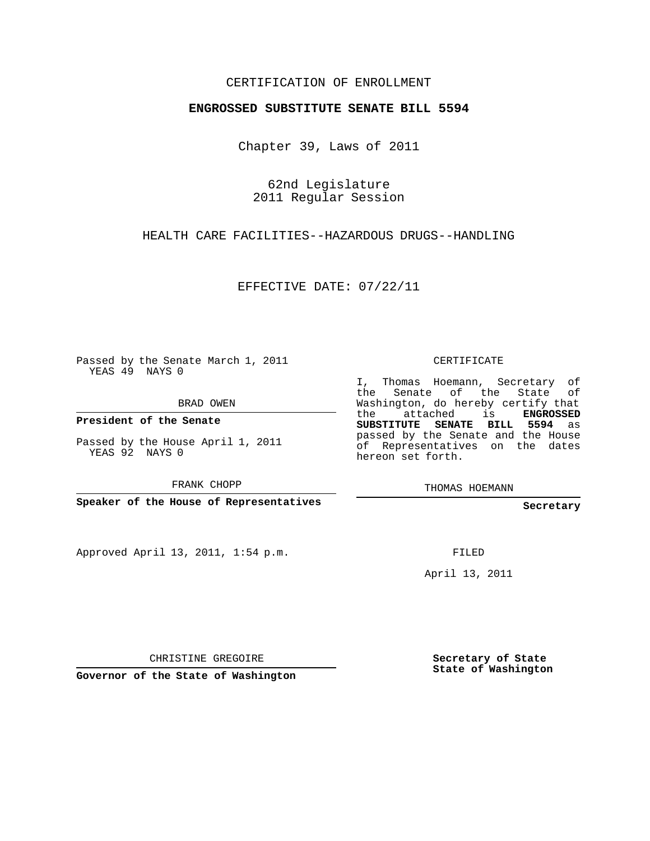## CERTIFICATION OF ENROLLMENT

## **ENGROSSED SUBSTITUTE SENATE BILL 5594**

Chapter 39, Laws of 2011

62nd Legislature 2011 Regular Session

HEALTH CARE FACILITIES--HAZARDOUS DRUGS--HANDLING

EFFECTIVE DATE: 07/22/11

Passed by the Senate March 1, 2011 YEAS 49 NAYS 0

BRAD OWEN

**President of the Senate**

Passed by the House April 1, 2011 YEAS 92 NAYS 0

FRANK CHOPP

**Speaker of the House of Representatives**

Approved April 13, 2011, 1:54 p.m.

CERTIFICATE

I, Thomas Hoemann, Secretary of the Senate of the State Washington, do hereby certify that the attached is **ENGROSSED SUBSTITUTE SENATE BILL 5594** as passed by the Senate and the House of Representatives on the dates hereon set forth.

THOMAS HOEMANN

**Secretary**

FILED

April 13, 2011

CHRISTINE GREGOIRE

**Governor of the State of Washington**

**Secretary of State State of Washington**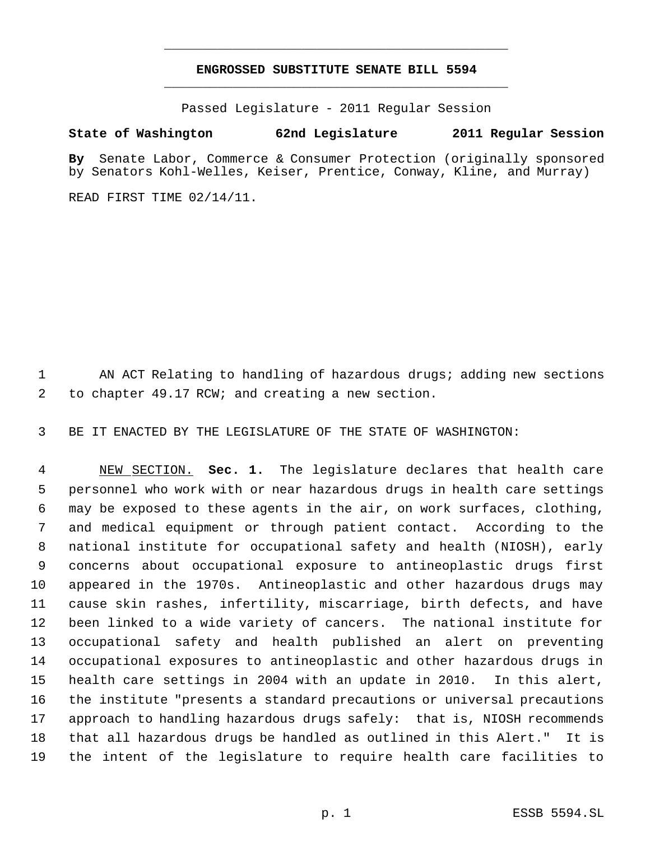## **ENGROSSED SUBSTITUTE SENATE BILL 5594** \_\_\_\_\_\_\_\_\_\_\_\_\_\_\_\_\_\_\_\_\_\_\_\_\_\_\_\_\_\_\_\_\_\_\_\_\_\_\_\_\_\_\_\_\_

\_\_\_\_\_\_\_\_\_\_\_\_\_\_\_\_\_\_\_\_\_\_\_\_\_\_\_\_\_\_\_\_\_\_\_\_\_\_\_\_\_\_\_\_\_

Passed Legislature - 2011 Regular Session

## **State of Washington 62nd Legislature 2011 Regular Session**

**By** Senate Labor, Commerce & Consumer Protection (originally sponsored by Senators Kohl-Welles, Keiser, Prentice, Conway, Kline, and Murray)

READ FIRST TIME 02/14/11.

1 AN ACT Relating to handling of hazardous drugs; adding new sections to chapter 49.17 RCW; and creating a new section.

BE IT ENACTED BY THE LEGISLATURE OF THE STATE OF WASHINGTON:

 NEW SECTION. **Sec. 1.** The legislature declares that health care personnel who work with or near hazardous drugs in health care settings may be exposed to these agents in the air, on work surfaces, clothing, and medical equipment or through patient contact. According to the national institute for occupational safety and health (NIOSH), early concerns about occupational exposure to antineoplastic drugs first appeared in the 1970s. Antineoplastic and other hazardous drugs may cause skin rashes, infertility, miscarriage, birth defects, and have been linked to a wide variety of cancers. The national institute for occupational safety and health published an alert on preventing occupational exposures to antineoplastic and other hazardous drugs in health care settings in 2004 with an update in 2010. In this alert, the institute "presents a standard precautions or universal precautions approach to handling hazardous drugs safely: that is, NIOSH recommends that all hazardous drugs be handled as outlined in this Alert." It is the intent of the legislature to require health care facilities to